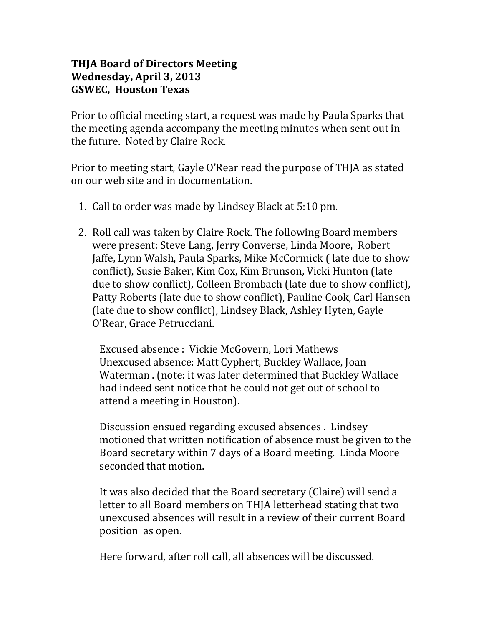## **THJA Board of Directors Meeting Wednesday, April 3, 2013 GSWEC, Houston Texas**

Prior to official meeting start, a request was made by Paula Sparks that the meeting agenda accompany the meeting minutes when sent out in the future. Noted by Claire Rock.

Prior to meeting start, Gayle O'Rear read the purpose of THJA as stated on our web site and in documentation.

- 1. Call to order was made by Lindsey Black at 5:10 pm.
- 2. Roll call was taken by Claire Rock. The following Board members were present: Steve Lang, Jerry Converse, Linda Moore, Robert Jaffe, Lynn Walsh, Paula Sparks, Mike McCormick ( late due to show conflict), Susie Baker, Kim Cox, Kim Brunson, Vicki Hunton (late due to show conflict), Colleen Brombach (late due to show conflict), Patty Roberts (late due to show conflict), Pauline Cook, Carl Hansen (late due to show conflict), Lindsey Black, Ashley Hyten, Gayle O'Rear, Grace Petrucciani.

Excused absence : Vickie McGovern, Lori Mathews Unexcused absence: Matt Cyphert, Buckley Wallace, Joan Waterman . (note: it was later determined that Buckley Wallace had indeed sent notice that he could not get out of school to attend a meeting in Houston).

Discussion ensued regarding excused absences . Lindsey motioned that written notification of absence must be given to the Board secretary within 7 days of a Board meeting. Linda Moore seconded that motion.

It was also decided that the Board secretary (Claire) will send a letter to all Board members on THJA letterhead stating that two unexcused absences will result in a review of their current Board position as open.

Here forward, after roll call, all absences will be discussed.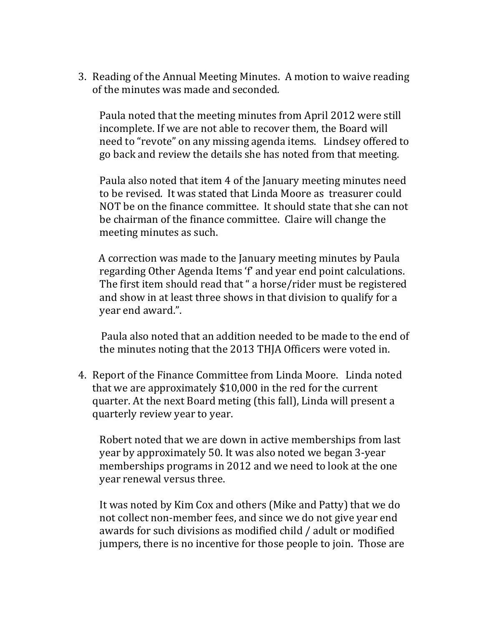3. Reading of the Annual Meeting Minutes. A motion to waive reading of the minutes was made and seconded.

Paula noted that the meeting minutes from April 2012 were still incomplete. If we are not able to recover them, the Board will need to "revote" on any missing agenda items. Lindsey offered to go back and review the details she has noted from that meeting.

Paula also noted that item 4 of the January meeting minutes need to be revised. It was stated that Linda Moore as treasurer could NOT be on the finance committee. It should state that she can not be chairman of the finance committee. Claire will change the meeting minutes as such.

 A correction was made to the January meeting minutes by Paula regarding Other Agenda Items 'f' and year end point calculations. The first item should read that " a horse/rider must be registered and show in at least three shows in that division to qualify for a year end award.".

 Paula also noted that an addition needed to be made to the end of the minutes noting that the 2013 THJA Officers were voted in.

4. Report of the Finance Committee from Linda Moore. Linda noted that we are approximately \$10,000 in the red for the current quarter. At the next Board meting (this fall), Linda will present a quarterly review year to year.

Robert noted that we are down in active memberships from last year by approximately 50. It was also noted we began 3-year memberships programs in 2012 and we need to look at the one year renewal versus three.

It was noted by Kim Cox and others (Mike and Patty) that we do not collect non-member fees, and since we do not give year end awards for such divisions as modified child / adult or modified jumpers, there is no incentive for those people to join. Those are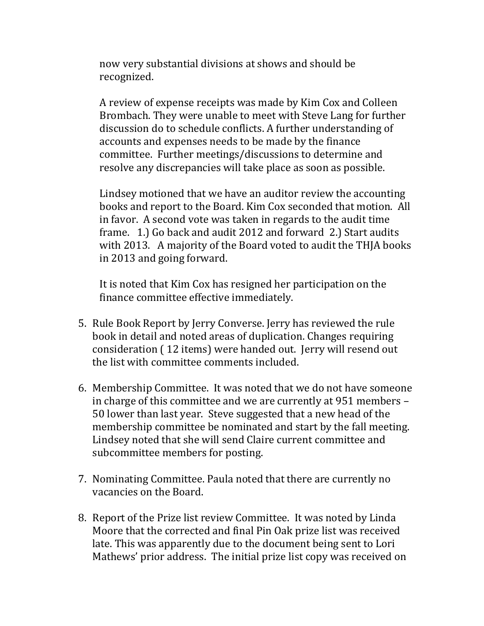now very substantial divisions at shows and should be recognized.

A review of expense receipts was made by Kim Cox and Colleen Brombach. They were unable to meet with Steve Lang for further discussion do to schedule conflicts. A further understanding of accounts and expenses needs to be made by the finance committee. Further meetings/discussions to determine and resolve any discrepancies will take place as soon as possible.

Lindsey motioned that we have an auditor review the accounting books and report to the Board. Kim Cox seconded that motion. All in favor. A second vote was taken in regards to the audit time frame. 1.) Go back and audit 2012 and forward 2.) Start audits with 2013. A majority of the Board voted to audit the THJA books in 2013 and going forward.

It is noted that Kim Cox has resigned her participation on the finance committee effective immediately.

- 5. Rule Book Report by Jerry Converse. Jerry has reviewed the rule book in detail and noted areas of duplication. Changes requiring consideration ( 12 items) were handed out. Jerry will resend out the list with committee comments included.
- 6. Membership Committee. It was noted that we do not have someone in charge of this committee and we are currently at 951 members – 50 lower than last year. Steve suggested that a new head of the membership committee be nominated and start by the fall meeting. Lindsey noted that she will send Claire current committee and subcommittee members for posting.
- 7. Nominating Committee. Paula noted that there are currently no vacancies on the Board.
- 8. Report of the Prize list review Committee. It was noted by Linda Moore that the corrected and final Pin Oak prize list was received late. This was apparently due to the document being sent to Lori Mathews' prior address. The initial prize list copy was received on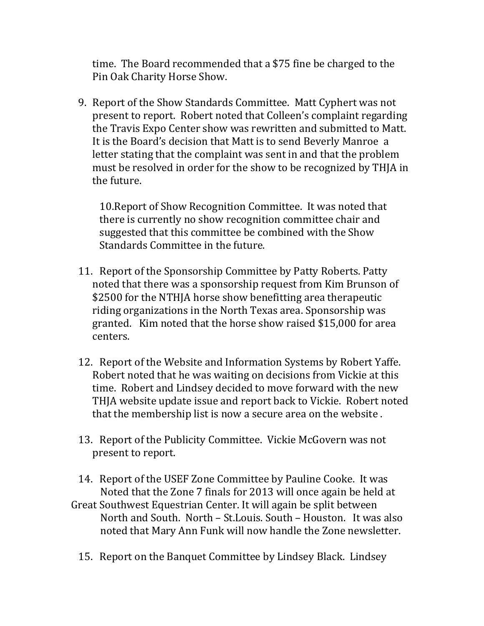time. The Board recommended that a \$75 fine be charged to the Pin Oak Charity Horse Show.

9. Report of the Show Standards Committee. Matt Cyphert was not present to report. Robert noted that Colleen's complaint regarding the Travis Expo Center show was rewritten and submitted to Matt. It is the Board's decision that Matt is to send Beverly Manroe a letter stating that the complaint was sent in and that the problem must be resolved in order for the show to be recognized by THJA in the future.

10.Report of Show Recognition Committee. It was noted that there is currently no show recognition committee chair and suggested that this committee be combined with the Show Standards Committee in the future.

- 11. Report of the Sponsorship Committee by Patty Roberts. Patty noted that there was a sponsorship request from Kim Brunson of \$2500 for the NTHJA horse show benefitting area therapeutic riding organizations in the North Texas area. Sponsorship was granted. Kim noted that the horse show raised \$15,000 for area centers.
- 12. Report of the Website and Information Systems by Robert Yaffe. Robert noted that he was waiting on decisions from Vickie at this time. Robert and Lindsey decided to move forward with the new THJA website update issue and report back to Vickie. Robert noted that the membership list is now a secure area on the website .
- 13. Report of the Publicity Committee. Vickie McGovern was not present to report.
- 14. Report of the USEF Zone Committee by Pauline Cooke. It was Noted that the Zone 7 finals for 2013 will once again be held at
- Great Southwest Equestrian Center. It will again be split between North and South. North – St.Louis. South – Houston. It was also noted that Mary Ann Funk will now handle the Zone newsletter.
	- 15. Report on the Banquet Committee by Lindsey Black. Lindsey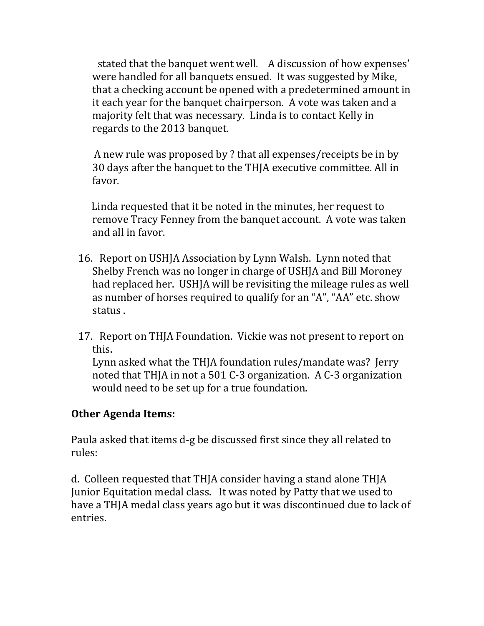stated that the banquet went well. A discussion of how expenses' were handled for all banquets ensued. It was suggested by Mike, that a checking account be opened with a predetermined amount in it each year for the banquet chairperson. A vote was taken and a majority felt that was necessary. Linda is to contact Kelly in regards to the 2013 banquet.

 A new rule was proposed by ? that all expenses/receipts be in by 30 days after the banquet to the THJA executive committee. All in favor.

 Linda requested that it be noted in the minutes, her request to remove Tracy Fenney from the banquet account. A vote was taken and all in favor.

- 16. Report on USHJA Association by Lynn Walsh. Lynn noted that Shelby French was no longer in charge of USHJA and Bill Moroney had replaced her. USHJA will be revisiting the mileage rules as well as number of horses required to qualify for an "A", "AA" etc. show status .
- 17. Report on THJA Foundation. Vickie was not present to report on this.

Lynn asked what the THJA foundation rules/mandate was? Jerry noted that THJA in not a 501 C-3 organization. A C-3 organization would need to be set up for a true foundation.

## **Other Agenda Items:**

Paula asked that items d-g be discussed first since they all related to rules:

d. Colleen requested that THJA consider having a stand alone THJA Junior Equitation medal class. It was noted by Patty that we used to have a THJA medal class years ago but it was discontinued due to lack of entries.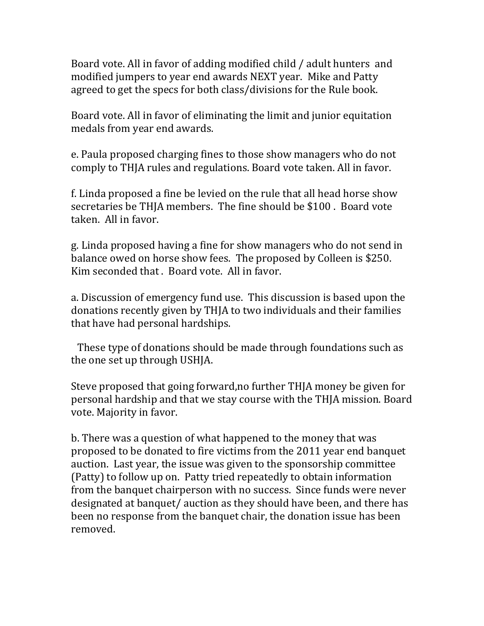Board vote. All in favor of adding modified child / adult hunters and modified jumpers to year end awards NEXT year. Mike and Patty agreed to get the specs for both class/divisions for the Rule book.

Board vote. All in favor of eliminating the limit and junior equitation medals from year end awards.

e. Paula proposed charging fines to those show managers who do not comply to THJA rules and regulations. Board vote taken. All in favor.

f. Linda proposed a fine be levied on the rule that all head horse show secretaries be THJA members. The fine should be \$100 . Board vote taken. All in favor.

g. Linda proposed having a fine for show managers who do not send in balance owed on horse show fees. The proposed by Colleen is \$250. Kim seconded that . Board vote. All in favor.

a. Discussion of emergency fund use. This discussion is based upon the donations recently given by THJA to two individuals and their families that have had personal hardships.

 These type of donations should be made through foundations such as the one set up through USHJA.

Steve proposed that going forward,no further THJA money be given for personal hardship and that we stay course with the THJA mission. Board vote. Majority in favor.

b. There was a question of what happened to the money that was proposed to be donated to fire victims from the 2011 year end banquet auction. Last year, the issue was given to the sponsorship committee (Patty) to follow up on. Patty tried repeatedly to obtain information from the banquet chairperson with no success. Since funds were never designated at banquet/ auction as they should have been, and there has been no response from the banquet chair, the donation issue has been removed.